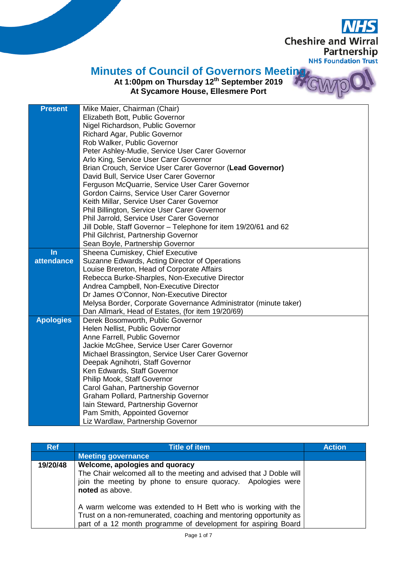**Cheshire and Wirral** Partnership **NHS Foundation Trust** 

 $\overline{C}$ 

## **Minutes of Council of Governors Meeting**

**At 1:00pm on Thursday 12th September 2019 At Sycamore House, Ellesmere Port** 

| <b>Present</b>    | Mike Maier, Chairman (Chair)                                     |
|-------------------|------------------------------------------------------------------|
|                   | Elizabeth Bott, Public Governor                                  |
|                   | Nigel Richardson, Public Governor                                |
|                   | Richard Agar, Public Governor                                    |
|                   | Rob Walker, Public Governor                                      |
|                   | Peter Ashley-Mudie, Service User Carer Governor                  |
|                   | Arlo King, Service User Carer Governor                           |
|                   | Brian Crouch, Service User Carer Governor (Lead Governor)        |
|                   | David Bull, Service User Carer Governor                          |
|                   | Ferguson McQuarrie, Service User Carer Governor                  |
|                   | Gordon Cairns, Service User Carer Governor                       |
|                   | Keith Millar, Service User Carer Governor                        |
|                   | Phil Billington, Service User Carer Governor                     |
|                   | Phil Jarrold, Service User Carer Governor                        |
|                   | Jill Doble, Staff Governor - Telephone for item 19/20/61 and 62  |
|                   | Phil Gilchrist, Partnership Governor                             |
|                   | Sean Boyle, Partnership Governor                                 |
| $\ln$             | Sheena Cumiskey, Chief Executive                                 |
| <b>attendance</b> | Suzanne Edwards, Acting Director of Operations                   |
|                   | Louise Brereton, Head of Corporate Affairs                       |
|                   | Rebecca Burke-Sharples, Non-Executive Director                   |
|                   | Andrea Campbell, Non-Executive Director                          |
|                   | Dr James O'Connor, Non-Executive Director                        |
|                   | Melysa Border, Corporate Governance Administrator (minute taker) |
|                   | Dan Allmark, Head of Estates, (for item 19/20/69)                |
| <b>Apologies</b>  | Derek Bosomworth, Public Governor                                |
|                   | Helen Nellist, Public Governor                                   |
|                   | Anne Farrell, Public Governor                                    |
|                   | Jackie McGhee, Service User Carer Governor                       |
|                   | Michael Brassington, Service User Carer Governor                 |
|                   | Deepak Agnihotri, Staff Governor                                 |
|                   | Ken Edwards, Staff Governor                                      |
|                   | Philip Mook, Staff Governor                                      |
|                   | Carol Gahan, Partnership Governor                                |
|                   | Graham Pollard, Partnership Governor                             |
|                   | Iain Steward, Partnership Governor                               |
|                   | Pam Smith, Appointed Governor                                    |
|                   | Liz Wardlaw, Partnership Governor                                |

| <b>Ref</b> | <b>Title of item</b>                                                                                                                                                                                 | <b>Action</b> |
|------------|------------------------------------------------------------------------------------------------------------------------------------------------------------------------------------------------------|---------------|
|            | <b>Meeting governance</b>                                                                                                                                                                            |               |
| 19/20/48   | Welcome, apologies and quoracy<br>The Chair welcomed all to the meeting and advised that J Doble will<br>join the meeting by phone to ensure quoracy. Apologies were<br>noted as above.              |               |
|            | A warm welcome was extended to H Bett who is working with the<br>Trust on a non-remunerated, coaching and mentoring opportunity as<br>part of a 12 month programme of development for aspiring Board |               |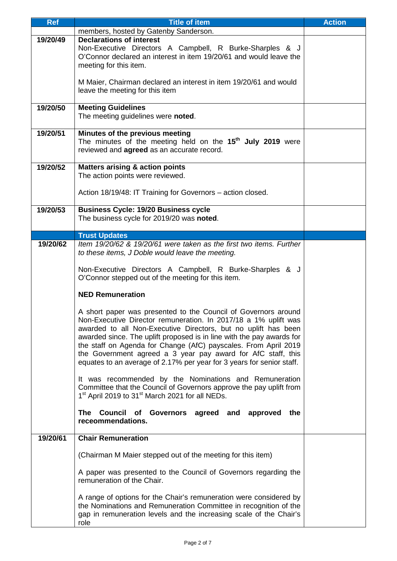| <b>Ref</b> | <b>Title of item</b>                                                                                                                                                                                                                                                                                                                                                                                                                                                                     | <b>Action</b> |
|------------|------------------------------------------------------------------------------------------------------------------------------------------------------------------------------------------------------------------------------------------------------------------------------------------------------------------------------------------------------------------------------------------------------------------------------------------------------------------------------------------|---------------|
|            | members, hosted by Gatenby Sanderson.                                                                                                                                                                                                                                                                                                                                                                                                                                                    |               |
| 19/20/49   | <b>Declarations of interest</b><br>Non-Executive Directors A Campbell, R Burke-Sharples & J<br>O'Connor declared an interest in item 19/20/61 and would leave the<br>meeting for this item.                                                                                                                                                                                                                                                                                              |               |
|            | M Maier, Chairman declared an interest in item 19/20/61 and would<br>leave the meeting for this item                                                                                                                                                                                                                                                                                                                                                                                     |               |
| 19/20/50   | <b>Meeting Guidelines</b><br>The meeting guidelines were noted.                                                                                                                                                                                                                                                                                                                                                                                                                          |               |
| 19/20/51   | Minutes of the previous meeting<br>The minutes of the meeting held on the 15 <sup>th</sup> July 2019 were<br>reviewed and <b>agreed</b> as an accurate record.                                                                                                                                                                                                                                                                                                                           |               |
| 19/20/52   | <b>Matters arising &amp; action points</b><br>The action points were reviewed.                                                                                                                                                                                                                                                                                                                                                                                                           |               |
|            | Action 18/19/48: IT Training for Governors – action closed.                                                                                                                                                                                                                                                                                                                                                                                                                              |               |
| 19/20/53   | <b>Business Cycle: 19/20 Business cycle</b><br>The business cycle for 2019/20 was noted.                                                                                                                                                                                                                                                                                                                                                                                                 |               |
|            | <b>Trust Updates</b>                                                                                                                                                                                                                                                                                                                                                                                                                                                                     |               |
| 19/20/62   | Item 19/20/62 & 19/20/61 were taken as the first two items. Further<br>to these items, J Doble would leave the meeting.                                                                                                                                                                                                                                                                                                                                                                  |               |
|            | Non-Executive Directors A Campbell, R Burke-Sharples & J<br>O'Connor stepped out of the meeting for this item.                                                                                                                                                                                                                                                                                                                                                                           |               |
|            | <b>NED Remuneration</b>                                                                                                                                                                                                                                                                                                                                                                                                                                                                  |               |
|            | A short paper was presented to the Council of Governors around<br>Non-Executive Director remuneration. In 2017/18 a 1% uplift was<br>awarded to all Non-Executive Directors, but no uplift has been<br>awarded since. The uplift proposed is in line with the pay awards for<br>the staff on Agenda for Change (AfC) payscales. From April 2019<br>the Government agreed a 3 year pay award for AfC staff, this<br>equates to an average of 2.17% per year for 3 years for senior staff. |               |
|            | It was recommended by the Nominations and Remuneration<br>Committee that the Council of Governors approve the pay uplift from<br>1 <sup>st</sup> April 2019 to 31 <sup>st</sup> March 2021 for all NEDs.                                                                                                                                                                                                                                                                                 |               |
|            | The Council of Governors agreed and approved<br>the<br>receommendations.                                                                                                                                                                                                                                                                                                                                                                                                                 |               |
| 19/20/61   | <b>Chair Remuneration</b>                                                                                                                                                                                                                                                                                                                                                                                                                                                                |               |
|            | (Chairman M Maier stepped out of the meeting for this item)                                                                                                                                                                                                                                                                                                                                                                                                                              |               |
|            | A paper was presented to the Council of Governors regarding the<br>remuneration of the Chair.                                                                                                                                                                                                                                                                                                                                                                                            |               |
|            | A range of options for the Chair's remuneration were considered by<br>the Nominations and Remuneration Committee in recognition of the<br>gap in remuneration levels and the increasing scale of the Chair's<br>role                                                                                                                                                                                                                                                                     |               |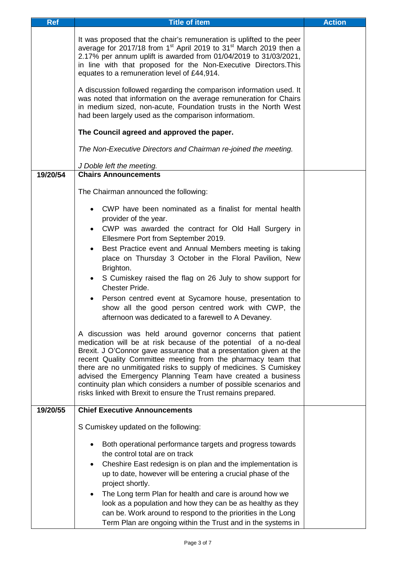| <b>Ref</b> | <b>Title of item</b>                                                                                                                                                                                                                                                                                                                                                                                                                                                                                                                              | <b>Action</b> |
|------------|---------------------------------------------------------------------------------------------------------------------------------------------------------------------------------------------------------------------------------------------------------------------------------------------------------------------------------------------------------------------------------------------------------------------------------------------------------------------------------------------------------------------------------------------------|---------------|
|            | It was proposed that the chair's remuneration is uplifted to the peer<br>average for 2017/18 from 1 <sup>st</sup> April 2019 to 31 <sup>st</sup> March 2019 then a<br>2.17% per annum uplift is awarded from 01/04/2019 to 31/03/2021,<br>in line with that proposed for the Non-Executive Directors. This<br>equates to a remuneration level of £44,914.                                                                                                                                                                                         |               |
|            | A discussion followed regarding the comparison information used. It<br>was noted that information on the average remuneration for Chairs<br>in medium sized, non-acute, Foundation trusts in the North West<br>had been largely used as the comparison informatiom.                                                                                                                                                                                                                                                                               |               |
|            | The Council agreed and approved the paper.                                                                                                                                                                                                                                                                                                                                                                                                                                                                                                        |               |
|            | The Non-Executive Directors and Chairman re-joined the meeting.                                                                                                                                                                                                                                                                                                                                                                                                                                                                                   |               |
|            | J Doble left the meeting.                                                                                                                                                                                                                                                                                                                                                                                                                                                                                                                         |               |
| 19/20/54   | <b>Chairs Announcements</b>                                                                                                                                                                                                                                                                                                                                                                                                                                                                                                                       |               |
|            | The Chairman announced the following:                                                                                                                                                                                                                                                                                                                                                                                                                                                                                                             |               |
|            | CWP have been nominated as a finalist for mental health<br>provider of the year.<br>CWP was awarded the contract for Old Hall Surgery in<br>Ellesmere Port from September 2019.<br>Best Practice event and Annual Members meeting is taking<br>place on Thursday 3 October in the Floral Pavilion, New<br>Brighton.<br>S Cumiskey raised the flag on 26 July to show support for<br>$\bullet$                                                                                                                                                     |               |
|            | <b>Chester Pride.</b><br>Person centred event at Sycamore house, presentation to<br>$\bullet$<br>show all the good person centred work with CWP, the<br>afternoon was dedicated to a farewell to A Devaney.                                                                                                                                                                                                                                                                                                                                       |               |
|            | A discussion was held around governor concerns that patient<br>medication will be at risk because of the potential of a no-deal<br>Brexit. J O'Connor gave assurance that a presentation given at the<br>recent Quality Committee meeting from the pharmacy team that<br>there are no unmitigated risks to supply of medicines. S Cumiskey<br>advised the Emergency Planning Team have created a business<br>continuity plan which considers a number of possible scenarios and<br>risks linked with Brexit to ensure the Trust remains prepared. |               |
| 19/20/55   | <b>Chief Executive Announcements</b>                                                                                                                                                                                                                                                                                                                                                                                                                                                                                                              |               |
|            | S Cumiskey updated on the following:                                                                                                                                                                                                                                                                                                                                                                                                                                                                                                              |               |
|            | Both operational performance targets and progress towards<br>the control total are on track<br>Cheshire East redesign is on plan and the implementation is<br>up to date, however will be entering a crucial phase of the<br>project shortly.<br>The Long term Plan for health and care is around how we<br>$\bullet$<br>look as a population and how they can be as healthy as they<br>can be. Work around to respond to the priorities in the Long<br>Term Plan are ongoing within the Trust and in the systems in                              |               |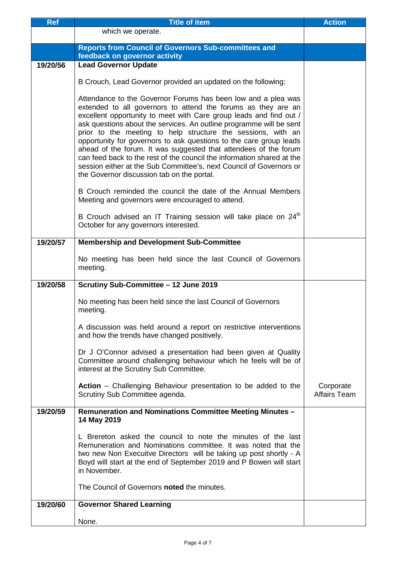| <b>Ref</b> | <b>Title of item</b>                                                                                                                                                                                                                                                                                                                                                                                                                                                                                                                                                                                                                                                                 | <b>Action</b>             |
|------------|--------------------------------------------------------------------------------------------------------------------------------------------------------------------------------------------------------------------------------------------------------------------------------------------------------------------------------------------------------------------------------------------------------------------------------------------------------------------------------------------------------------------------------------------------------------------------------------------------------------------------------------------------------------------------------------|---------------------------|
|            | which we operate.                                                                                                                                                                                                                                                                                                                                                                                                                                                                                                                                                                                                                                                                    |                           |
| 19/20/56   | <b>Reports from Council of Governors Sub-committees and</b><br>feedback on governor activity<br><b>Lead Governor Update</b>                                                                                                                                                                                                                                                                                                                                                                                                                                                                                                                                                          |                           |
|            |                                                                                                                                                                                                                                                                                                                                                                                                                                                                                                                                                                                                                                                                                      |                           |
|            | B Crouch, Lead Governor provided an updated on the following:                                                                                                                                                                                                                                                                                                                                                                                                                                                                                                                                                                                                                        |                           |
|            | Attendance to the Governor Forums has been low and a plea was<br>extended to all governors to attend the forums as they are an<br>excellent opportunity to meet with Care group leads and find out /<br>ask questions about the services. An outline programme will be sent<br>prior to the meeting to help structure the sessions, with an<br>opportunity for governors to ask questions to the care group leads<br>ahead of the forum. It was suggested that attendees of the forum<br>can feed back to the rest of the council the information shared at the<br>session either at the Sub Committee's, next Council of Governors or<br>the Governor discussion tab on the portal. |                           |
|            | B Crouch reminded the council the date of the Annual Members<br>Meeting and governors were encouraged to attend.                                                                                                                                                                                                                                                                                                                                                                                                                                                                                                                                                                     |                           |
|            | B Crouch advised an IT Training session will take place on 24 <sup>th</sup><br>October for any governors interested.                                                                                                                                                                                                                                                                                                                                                                                                                                                                                                                                                                 |                           |
| 19/20/57   | <b>Membership and Development Sub-Committee</b>                                                                                                                                                                                                                                                                                                                                                                                                                                                                                                                                                                                                                                      |                           |
|            | No meeting has been held since the last Council of Governors<br>meeting.                                                                                                                                                                                                                                                                                                                                                                                                                                                                                                                                                                                                             |                           |
| 19/20/58   | Scrutiny Sub-Committee - 12 June 2019                                                                                                                                                                                                                                                                                                                                                                                                                                                                                                                                                                                                                                                |                           |
|            | No meeting has been held since the last Council of Governors<br>meeting.                                                                                                                                                                                                                                                                                                                                                                                                                                                                                                                                                                                                             |                           |
|            | A discussion was held around a report on restrictive interventions<br>and how the trends have changed positively.                                                                                                                                                                                                                                                                                                                                                                                                                                                                                                                                                                    |                           |
|            | Dr J O'Connor advised a presentation had been given at Quality<br>Committee around challenging behaviour which he feels will be of<br>interest at the Scrutiny Sub Committee.                                                                                                                                                                                                                                                                                                                                                                                                                                                                                                        |                           |
|            | Action - Challenging Behaviour presentation to be added to the<br>Scrutiny Sub Committee agenda.                                                                                                                                                                                                                                                                                                                                                                                                                                                                                                                                                                                     | Corporate<br>Affairs Team |
| 19/20/59   | Remuneration and Nominations Committee Meeting Minutes -<br>14 May 2019                                                                                                                                                                                                                                                                                                                                                                                                                                                                                                                                                                                                              |                           |
|            | L Brereton asked the council to note the minutes of the last<br>Remuneration and Nominations committee. It was noted that the<br>two new Non Execuitve Directors will be taking up post shortly - A<br>Boyd will start at the end of September 2019 and P Bowen will start<br>in November.                                                                                                                                                                                                                                                                                                                                                                                           |                           |
|            | The Council of Governors noted the minutes.                                                                                                                                                                                                                                                                                                                                                                                                                                                                                                                                                                                                                                          |                           |
| 19/20/60   | <b>Governor Shared Learning</b>                                                                                                                                                                                                                                                                                                                                                                                                                                                                                                                                                                                                                                                      |                           |
|            | None.                                                                                                                                                                                                                                                                                                                                                                                                                                                                                                                                                                                                                                                                                |                           |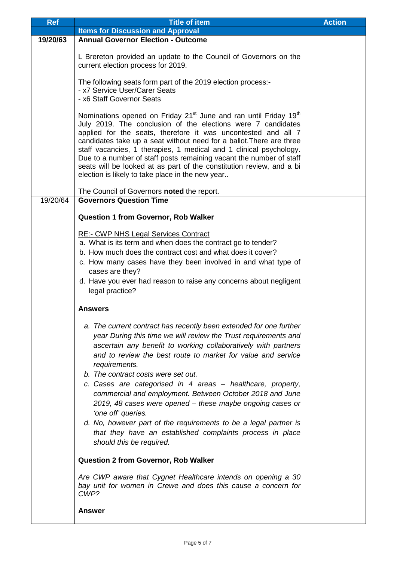| <b>Ref</b> | <b>Title of item</b>                                                                                                                                                                                                                                                                                                                                                                                                                                                                                                                                                       | <b>Action</b> |
|------------|----------------------------------------------------------------------------------------------------------------------------------------------------------------------------------------------------------------------------------------------------------------------------------------------------------------------------------------------------------------------------------------------------------------------------------------------------------------------------------------------------------------------------------------------------------------------------|---------------|
|            | <b>Items for Discussion and Approval</b>                                                                                                                                                                                                                                                                                                                                                                                                                                                                                                                                   |               |
| 19/20/63   | <b>Annual Governor Election - Outcome</b>                                                                                                                                                                                                                                                                                                                                                                                                                                                                                                                                  |               |
|            | L Brereton provided an update to the Council of Governors on the<br>current election process for 2019.                                                                                                                                                                                                                                                                                                                                                                                                                                                                     |               |
|            | The following seats form part of the 2019 election process:-<br>- x7 Service User/Carer Seats<br>- x6 Staff Governor Seats                                                                                                                                                                                                                                                                                                                                                                                                                                                 |               |
|            | Nominations opened on Friday 21 <sup>st</sup> June and ran until Friday 19 <sup>th</sup><br>July 2019. The conclusion of the elections were 7 candidates<br>applied for the seats, therefore it was uncontested and all 7<br>candidates take up a seat without need for a ballot. There are three<br>staff vacancies, 1 therapies, 1 medical and 1 clinical psychology.<br>Due to a number of staff posts remaining vacant the number of staff<br>seats will be looked at as part of the constitution review, and a bi<br>election is likely to take place in the new year |               |
|            | The Council of Governors noted the report.                                                                                                                                                                                                                                                                                                                                                                                                                                                                                                                                 |               |
| 19/20/64   | <b>Governors Question Time</b><br><b>Question 1 from Governor, Rob Walker</b><br><b>RE:- CWP NHS Legal Services Contract</b><br>a. What is its term and when does the contract go to tender?                                                                                                                                                                                                                                                                                                                                                                               |               |
|            | b. How much does the contract cost and what does it cover?<br>c. How many cases have they been involved in and what type of<br>cases are they?<br>d. Have you ever had reason to raise any concerns about negligent                                                                                                                                                                                                                                                                                                                                                        |               |
|            | legal practice?                                                                                                                                                                                                                                                                                                                                                                                                                                                                                                                                                            |               |
|            | <b>Answers</b>                                                                                                                                                                                                                                                                                                                                                                                                                                                                                                                                                             |               |
|            | a. The current contract has recently been extended for one further<br>year During this time we will review the Trust requirements and<br>ascertain any benefit to working collaboratively with partners<br>and to review the best route to market for value and service<br>requirements.                                                                                                                                                                                                                                                                                   |               |
|            | b. The contract costs were set out.<br>c. Cases are categorised in 4 areas - healthcare, property,<br>commercial and employment. Between October 2018 and June<br>2019, 48 cases were opened - these maybe ongoing cases or<br>'one off' queries.<br>d. No, however part of the requirements to be a legal partner is<br>that they have an established complaints process in place                                                                                                                                                                                         |               |
|            | should this be required.<br><b>Question 2 from Governor, Rob Walker</b>                                                                                                                                                                                                                                                                                                                                                                                                                                                                                                    |               |
|            | Are CWP aware that Cygnet Healthcare intends on opening a 30<br>bay unit for women in Crewe and does this cause a concern for<br>CWP?                                                                                                                                                                                                                                                                                                                                                                                                                                      |               |
|            | <b>Answer</b>                                                                                                                                                                                                                                                                                                                                                                                                                                                                                                                                                              |               |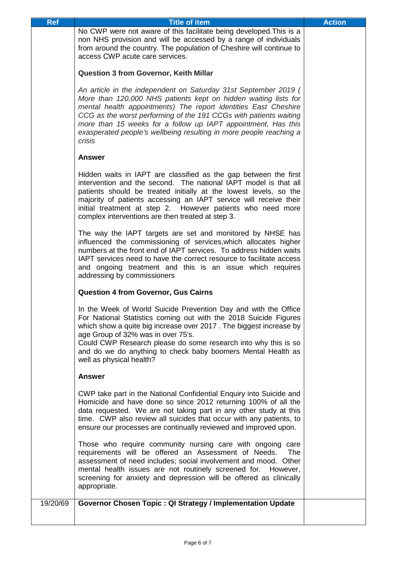| Ref      | <b>Title of item</b>                                                                                                                                                                                                                                                                                                                                                                                                        | <b>Action</b> |
|----------|-----------------------------------------------------------------------------------------------------------------------------------------------------------------------------------------------------------------------------------------------------------------------------------------------------------------------------------------------------------------------------------------------------------------------------|---------------|
|          | No CWP were not aware of this facilitate being developed. This is a<br>non NHS provision and will be accessed by a range of individuals<br>from around the country. The population of Cheshire will continue to<br>access CWP acute care services.                                                                                                                                                                          |               |
|          | <b>Question 3 from Governor, Keith Millar</b>                                                                                                                                                                                                                                                                                                                                                                               |               |
|          | An article in the independent on Saturday 31st September 2019 (<br>More than 120,000 NHS patients kept on hidden waiting lists for<br>mental health appointments) The report identities East Cheshire<br>CCG as the worst performing of the 191 CCGs with patients waiting<br>more than 15 weeks for a follow up IAPT appointment, Has this<br>exasperated people's wellbeing resulting in more people reaching a<br>crisis |               |
|          | <b>Answer</b>                                                                                                                                                                                                                                                                                                                                                                                                               |               |
|          | Hidden waits in IAPT are classified as the gap between the first<br>intervention and the second. The national IAPT model is that all<br>patients should be treated initially at the lowest levels, so the<br>majority of patients accessing an IAPT service will receive their<br>initial treatment at step 2. However patients who need more<br>complex interventions are then treated at step 3.                          |               |
|          | The way the IAPT targets are set and monitored by NHSE has<br>influenced the commissioning of services, which allocates higher<br>numbers at the front end of IAPT services. To address hidden waits<br>IAPT services need to have the correct resource to facilitate access<br>and ongoing treatment and this is an issue which requires<br>addressing by commissioners                                                    |               |
|          | <b>Question 4 from Governor, Gus Cairns</b>                                                                                                                                                                                                                                                                                                                                                                                 |               |
|          | In the Week of World Suicide Prevention Day and with the Office<br>For National Statistics coming out with the 2018 Suicide Figures<br>which show a quite big increase over 2017. The biggest increase by<br>age Group of 32% was in over 75's.<br>Could CWP Research please do some research into why this is so<br>and do we do anything to check baby boomers Mental Health as<br>well as physical health?               |               |
|          | <b>Answer</b>                                                                                                                                                                                                                                                                                                                                                                                                               |               |
|          | CWP take part in the National Confidential Enquiry into Suicide and<br>Homicide and have done so since 2012 returning 100% of all the<br>data requested. We are not taking part in any other study at this<br>time. CWP also review all suicides that occur with any patients, to<br>ensure our processes are continually reviewed and improved upon.                                                                       |               |
|          | Those who require community nursing care with ongoing care<br>requirements will be offered an Assessment of Needs.<br>The<br>assessment of need includes; social involvement and mood. Other<br>mental health issues are not routinely screened for. However,<br>screening for anxiety and depression will be offered as clinically<br>appropriate.                                                                         |               |
| 19/20/69 | Governor Chosen Topic: QI Strategy / Implementation Update                                                                                                                                                                                                                                                                                                                                                                  |               |